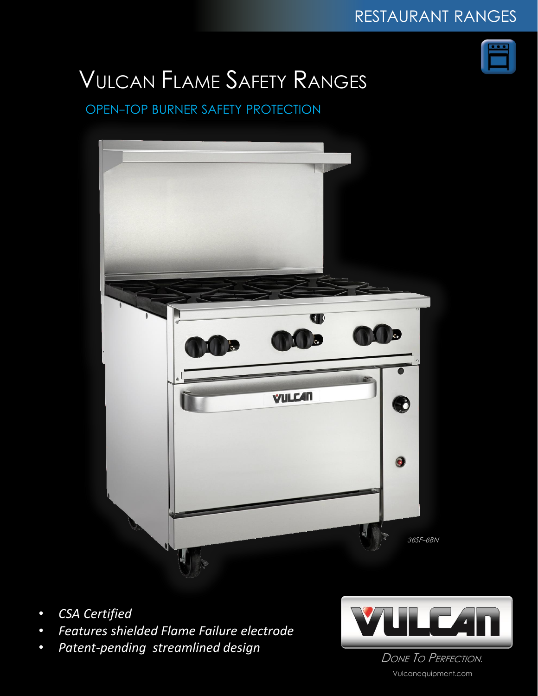

# VULCAN FLAME SAFETY RANGES

### OPEN-TOP BURNER SAFETY PROTECTION



- *CSA Certified*
- *Features shielded Flame Failure electrode*
- *Patent-pending streamlined design*



DONE TO PERFECTION. Vulcanequipment.com